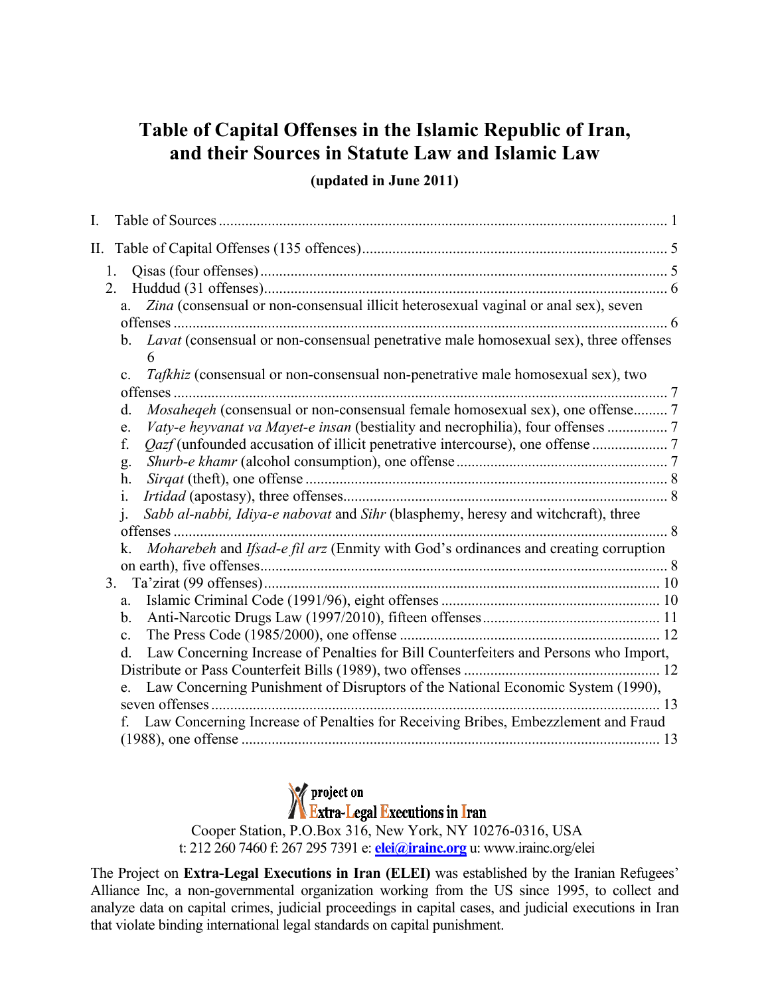### **Table of Capital Offenses in the Islamic Republic of Iran, and their Sources in Statute Law and Islamic Law**

#### **(updated in June 2011)**

| I. |                                                                                                                                                                            |  |
|----|----------------------------------------------------------------------------------------------------------------------------------------------------------------------------|--|
| П. |                                                                                                                                                                            |  |
|    | 1 <sup>1</sup><br>2.<br>Zina (consensual or non-consensual illicit heterosexual vaginal or anal sex), seven<br>a.                                                          |  |
|    | b. Lavat (consensual or non-consensual penetrative male homosexual sex), three offenses                                                                                    |  |
|    | 6<br>Tafkhiz (consensual or non-consensual non-penetrative male homosexual sex), two<br>$\mathbf{c}$ .                                                                     |  |
|    | <i>Mosaheqeh</i> (consensual or non-consensual female homosexual sex), one offense 7<br>d.                                                                                 |  |
|    | Vaty-e heyvanat va Mayet-e insan (bestiality and necrophilia), four offenses 7<br>e.<br>f.                                                                                 |  |
|    | g.<br>h.                                                                                                                                                                   |  |
|    | 1.<br>$\mathbf{i}$ .<br>Sabb al-nabbi, Idiya-e nabovat and Sihr (blasphemy, heresy and witchcraft), three                                                                  |  |
|    | Moharebeh and Ifsad-e fil arz (Enmity with God's ordinances and creating corruption<br>k.                                                                                  |  |
|    | 3.<br>a.                                                                                                                                                                   |  |
|    | b.<br>$\mathbf{c}$ .                                                                                                                                                       |  |
|    | Law Concerning Increase of Penalties for Bill Counterfeiters and Persons who Import,<br>d.                                                                                 |  |
|    | Law Concerning Punishment of Disruptors of the National Economic System (1990),<br>Law Concerning Increase of Penalties for Receiving Bribes, Embezzlement and Fraud<br>f. |  |
|    |                                                                                                                                                                            |  |

**X** project on<br>**X** Extra-Legal Executions in Iran

Cooper Station, P.O.Box 316, New York, NY 10276-0316, USA t: 212 260 7460 f: 267 295 7391 e: **elei@irainc.org** u: www.irainc.org/elei

The Project on **Extra-Legal Executions in Iran (ELEI)** was established by the Iranian Refugees' Alliance Inc, a non-governmental organization working from the US since 1995, to collect and analyze data on capital crimes, judicial proceedings in capital cases, and judicial executions in Iran that violate binding international legal standards on capital punishment.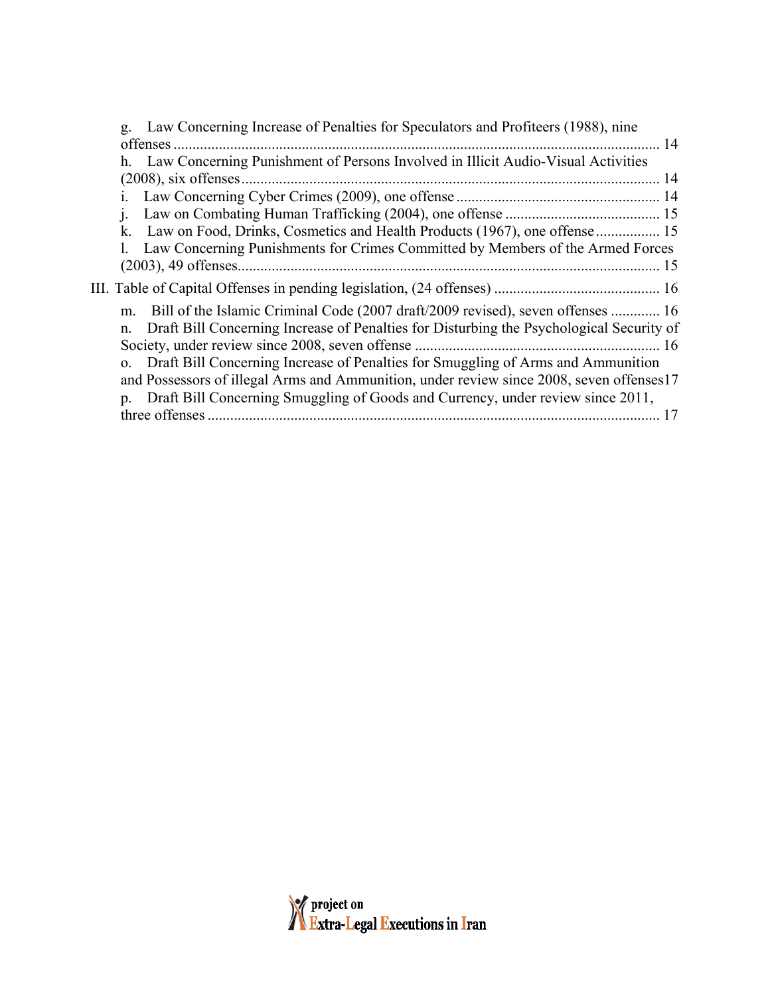| Law Concerning Increase of Penalties for Speculators and Profiteers (1988), nine<br>g.              |
|-----------------------------------------------------------------------------------------------------|
| offenses.<br>14                                                                                     |
| Law Concerning Punishment of Persons Involved in Illicit Audio-Visual Activities<br>h.              |
|                                                                                                     |
|                                                                                                     |
|                                                                                                     |
| k.                                                                                                  |
| Law Concerning Punishments for Crimes Committed by Members of the Armed Forces                      |
| 15                                                                                                  |
|                                                                                                     |
| Bill of the Islamic Criminal Code (2007 draft/2009 revised), seven offenses  16<br>m.               |
| Draft Bill Concerning Increase of Penalties for Disturbing the Psychological Security of<br>n.      |
|                                                                                                     |
| Draft Bill Concerning Increase of Penalties for Smuggling of Arms and Ammunition<br>$\Omega$ .      |
| and Possessors of illegal Arms and Ammunition, under review since 2008, seven offenses17            |
| Draft Bill Concerning Smuggling of Goods and Currency, under review since 2011,<br>$\mathfrak{D}$ . |
|                                                                                                     |

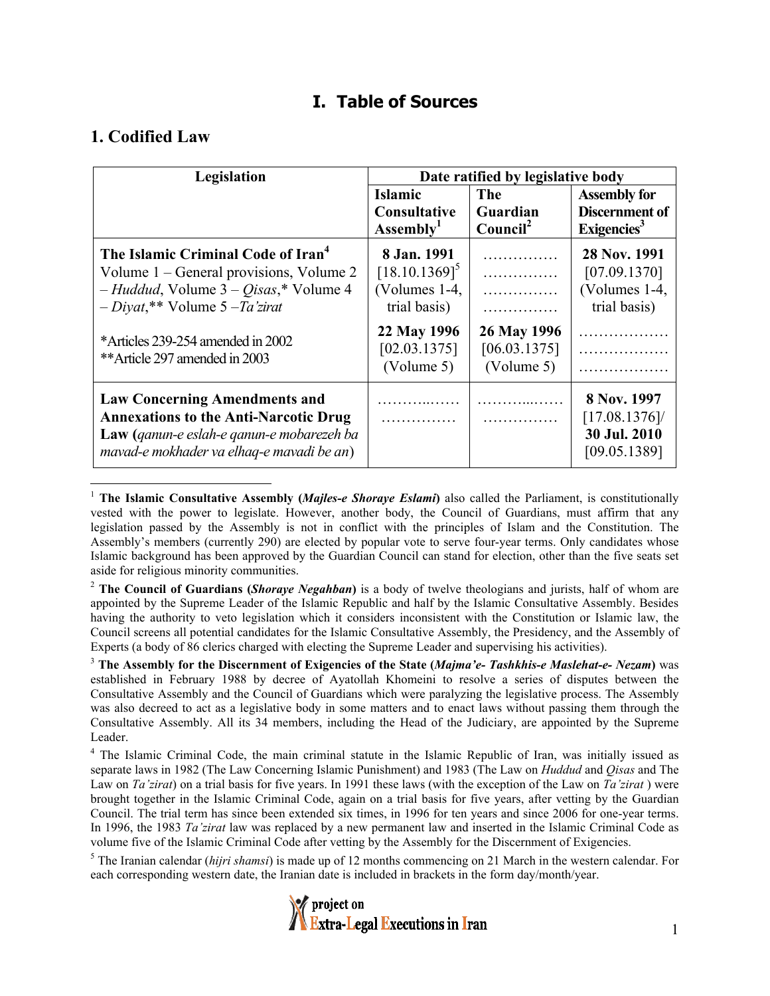### **I. Table of Sources**

#### **1. Codified Law**

| Legislation                                                                                                                                                                         | Date ratified by legislative body                                  |                                              |                                                                         |  |
|-------------------------------------------------------------------------------------------------------------------------------------------------------------------------------------|--------------------------------------------------------------------|----------------------------------------------|-------------------------------------------------------------------------|--|
|                                                                                                                                                                                     | Islamic<br><b>Consultative</b><br>Assembly <sup>1</sup>            | <b>The</b><br>Guardian<br>Count <sup>2</sup> | <b>Assembly for</b><br><b>Discernment of</b><br>Exigencies <sup>3</sup> |  |
| The Islamic Criminal Code of Iran <sup>4</sup><br>Volume 1 – General provisions, Volume 2<br>$-$ Huddud, Volume 3 – Qisas,* Volume 4<br>$-Diyat$ <sup>**</sup> Volume 5 $-Ta'zirat$ | 8 Jan. 1991<br>$[18.10.1369]^{5}$<br>(Volumes 1-4,<br>trial basis) | .<br>.<br>.<br>.                             | 28 Nov. 1991<br>[07.09.1370]<br>(Volumes 1-4,<br>trial basis)           |  |
| *Articles 239-254 amended in 2002<br>**Article 297 amended in 2003                                                                                                                  | 22 May 1996<br>[02.03.1375]<br>(Volume 5)                          | 26 May 1996<br>[06.03.1375]<br>(Volume 5)    | .<br>.                                                                  |  |
| <b>Law Concerning Amendments and</b><br><b>Annexations to the Anti-Narcotic Drug</b><br>Law (ganun-e eslah-e ganun-e mobarezeh ba<br>mavad-e mokhader va elhaq-e mavadi be an)      | .                                                                  | .<br>.                                       | 8 Nov. 1997<br>[17.08.1376]<br>30 Jul. 2010<br>[09.05.1389]             |  |

<sup>&</sup>lt;sup>1</sup> The Islamic Consultative Assembly (*Majles-e Shoraye Eslami*) also called the Parliament, is constitutionally vested with the power to legislate. However, another body, the Council of Guardians, must affirm that any legislation passed by the Assembly is not in conflict with the principles of Islam and the Constitution. The Assembly's members (currently 290) are elected by popular vote to serve four-year terms. Only candidates whose Islamic background has been approved by the Guardian Council can stand for election, other than the five seats set aside for religious minority communities.

<sup>2</sup> **The Council of Guardians (***Shoraye Negahban***)** is a body of twelve theologians and jurists, half of whom are appointed by the Supreme Leader of the Islamic Republic and half by the Islamic Consultative Assembly. Besides having the authority to veto legislation which it considers inconsistent with the Constitution or Islamic law, the Council screens all potential candidates for the Islamic Consultative Assembly, the Presidency, and the Assembly of Experts (a body of 86 clerics charged with electing the Supreme Leader and supervising his activities).

3  **The Assembly for the Discernment of Exigencies of the State (***Majma'e- Tashkhis-e Maslehat-e- Nezam***)** was established in February 1988 by decree of Ayatollah Khomeini to resolve a series of disputes between the Consultative Assembly and the Council of Guardians which were paralyzing the legislative process. The Assembly was also decreed to act as a legislative body in some matters and to enact laws without passing them through the Consultative Assembly. All its 34 members, including the Head of the Judiciary, are appointed by the Supreme Leader.

<sup>4</sup> The Islamic Criminal Code, the main criminal statute in the Islamic Republic of Iran, was initially issued as separate laws in 1982 (The Law Concerning Islamic Punishment) and 1983 (The Law on *Huddud* and *Qisas* and The Law on *Ta'zirat*) on a trial basis for five years. In 1991 these laws (with the exception of the Law on *Ta'zirat* ) were brought together in the Islamic Criminal Code, again on a trial basis for five years, after vetting by the Guardian Council. The trial term has since been extended six times, in 1996 for ten years and since 2006 for one-year terms. In 1996, the 1983 *Ta'zirat* law was replaced by a new permanent law and inserted in the Islamic Criminal Code as volume five of the Islamic Criminal Code after vetting by the Assembly for the Discernment of Exigencies.

<sup>5</sup> The Iranian calendar (*hijri shamsi*) is made up of 12 months commencing on 21 March in the western calendar. For each corresponding western date, the Iranian date is included in brackets in the form day/month/year.

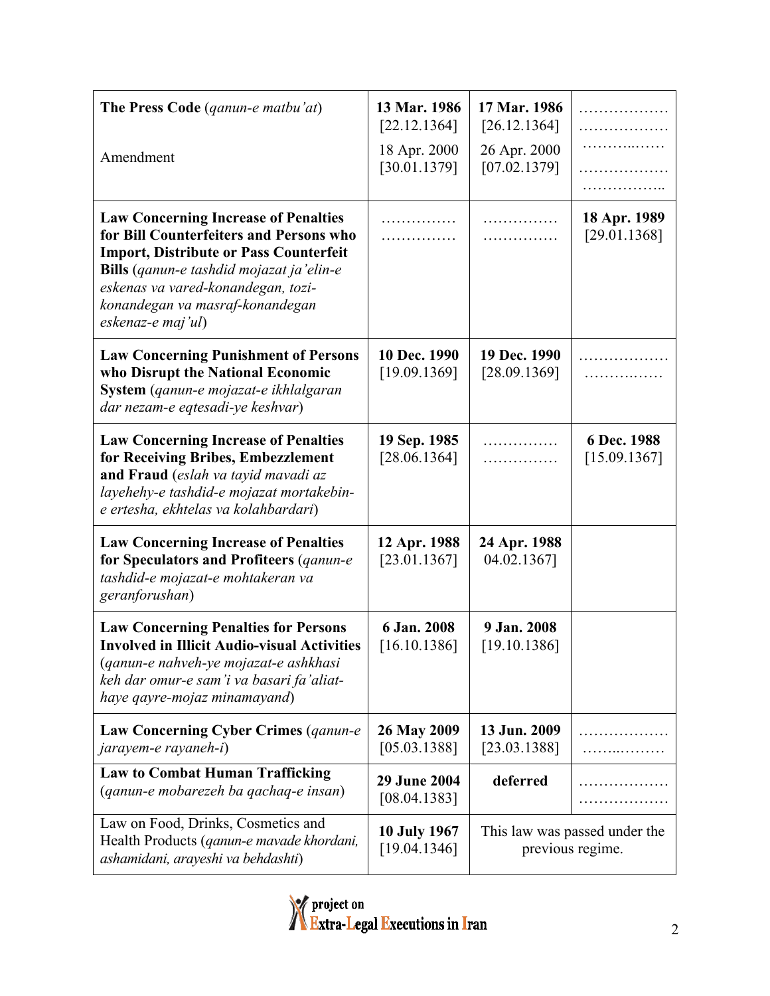| <b>The Press Code</b> ( <i>qanun-e matbu'at</i> )                                                                                                                                                                                                                                                | 13 Mar. 1986<br>[22.12.1364]        | 17 Mar. 1986<br>[26.12.1364] | .<br>.                                            |
|--------------------------------------------------------------------------------------------------------------------------------------------------------------------------------------------------------------------------------------------------------------------------------------------------|-------------------------------------|------------------------------|---------------------------------------------------|
| Amendment                                                                                                                                                                                                                                                                                        | 18 Apr. 2000<br>[30.01.1379]        | 26 Apr. 2000<br>[07.02.1379] | .<br>.                                            |
| <b>Law Concerning Increase of Penalties</b><br>for Bill Counterfeiters and Persons who<br><b>Import, Distribute or Pass Counterfeit</b><br><b>Bills</b> ( <i>qanun-e tashdid mojazat ja'elin-e</i><br>eskenas va vared-konandegan, tozi-<br>konandegan va masraf-konandegan<br>eskenaz-e maj'ul) | .                                   | .<br>.                       | 18 Apr. 1989<br>[29.01.1368]                      |
| <b>Law Concerning Punishment of Persons</b><br>who Disrupt the National Economic<br>System (qanun-e mojazat-e ikhlalgaran<br>dar nezam-e eqtesadi-ye keshvar)                                                                                                                                    | 10 Dec. 1990<br>[19.09.1369]        | 19 Dec. 1990<br>[28.09.1369] | .<br>.                                            |
| <b>Law Concerning Increase of Penalties</b><br>for Receiving Bribes, Embezzlement<br>and Fraud (eslah va tayid mavadi az<br>layehehy-e tashdid-e mojazat mortakebin-<br>e ertesha, ekhtelas va kolahbardari)                                                                                     | 19 Sep. 1985<br>[28.06.1364]        | .<br>.                       | 6 Dec. 1988<br>[15.09.1367]                       |
| <b>Law Concerning Increase of Penalties</b><br>for Speculators and Profiteers (ganun-e<br>tashdid-e mojazat-e mohtakeran va<br>geranforushan)                                                                                                                                                    | 12 Apr. 1988<br>[23.01.1367]        | 24 Apr. 1988<br>04.02.1367]  |                                                   |
| <b>Law Concerning Penalties for Persons</b><br><b>Involved in Illicit Audio-visual Activities</b><br>(qanun-e nahveh-ye mojazat-e ashkhasi<br>keh dar omur-e sam'i va basari fa'aliat-<br>haye qayre-mojaz minamayand)                                                                           | 6 Jan. 2008<br>[16.10.1386]         | 9 Jan. 2008<br>[19.10.1386]  |                                                   |
| Law Concerning Cyber Crimes (ganun-e<br>jarayem-e rayaneh-i)                                                                                                                                                                                                                                     | 26 May 2009<br>[05.03.1388]         | 13 Jun. 2009<br>[23.03.1388] |                                                   |
| <b>Law to Combat Human Trafficking</b><br>(ganun-e mobarezeh ba gachaq-e insan)                                                                                                                                                                                                                  | 29 June 2004<br>[08.04.1383]        | deferred                     |                                                   |
| Law on Food, Drinks, Cosmetics and<br>Health Products (ganun-e mavade khordani,<br>ashamidani, arayeshi va behdashti)                                                                                                                                                                            | <b>10 July 1967</b><br>[19.04.1346] |                              | This law was passed under the<br>previous regime. |

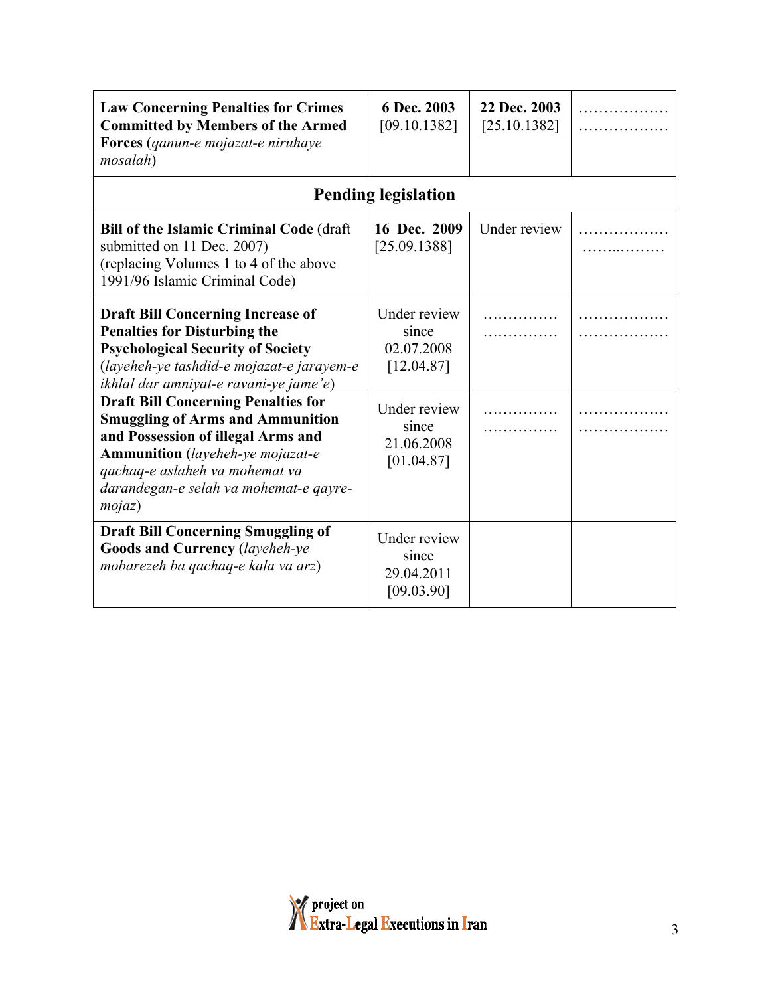| <b>Law Concerning Penalties for Crimes</b><br><b>Committed by Members of the Armed</b><br>Forces (qanun-e mojazat-e niruhaye<br>mosalah)                                                                                                              | 6 Dec. 2003<br>[09.10.1382]                       | 22 Dec. 2003<br>[25.10.1382] | . |
|-------------------------------------------------------------------------------------------------------------------------------------------------------------------------------------------------------------------------------------------------------|---------------------------------------------------|------------------------------|---|
|                                                                                                                                                                                                                                                       | <b>Pending legislation</b>                        |                              |   |
| <b>Bill of the Islamic Criminal Code (draft</b><br>submitted on 11 Dec. 2007)<br>(replacing Volumes 1 to 4 of the above<br>1991/96 Islamic Criminal Code)                                                                                             | 16 Dec. 2009<br>[25.09.1388]                      | Under review                 |   |
| <b>Draft Bill Concerning Increase of</b><br><b>Penalties for Disturbing the</b><br><b>Psychological Security of Society</b><br>(layeheh-ye tashdid-e mojazat-e jarayem-e<br>ikhlal dar amniyat-e ravani-ye jame'e)                                    | Under review<br>since<br>02.07.2008<br>[12.04.87] |                              |   |
| <b>Draft Bill Concerning Penalties for</b><br><b>Smuggling of Arms and Ammunition</b><br>and Possession of illegal Arms and<br>Ammunition (layeheh-ye mojazat-e<br>qachaq-e aslaheh va mohemat va<br>darandegan-e selah va mohemat-e qayre-<br>mojaz) | Under review<br>since<br>21.06.2008<br>[01.04.87] |                              |   |
| <b>Draft Bill Concerning Smuggling of</b><br>Goods and Currency (layeheh-ye<br>mobarezeh ba qachaq-e kala va arz)                                                                                                                                     | Under review<br>since<br>29.04.2011<br>[09.03.90] |                              |   |

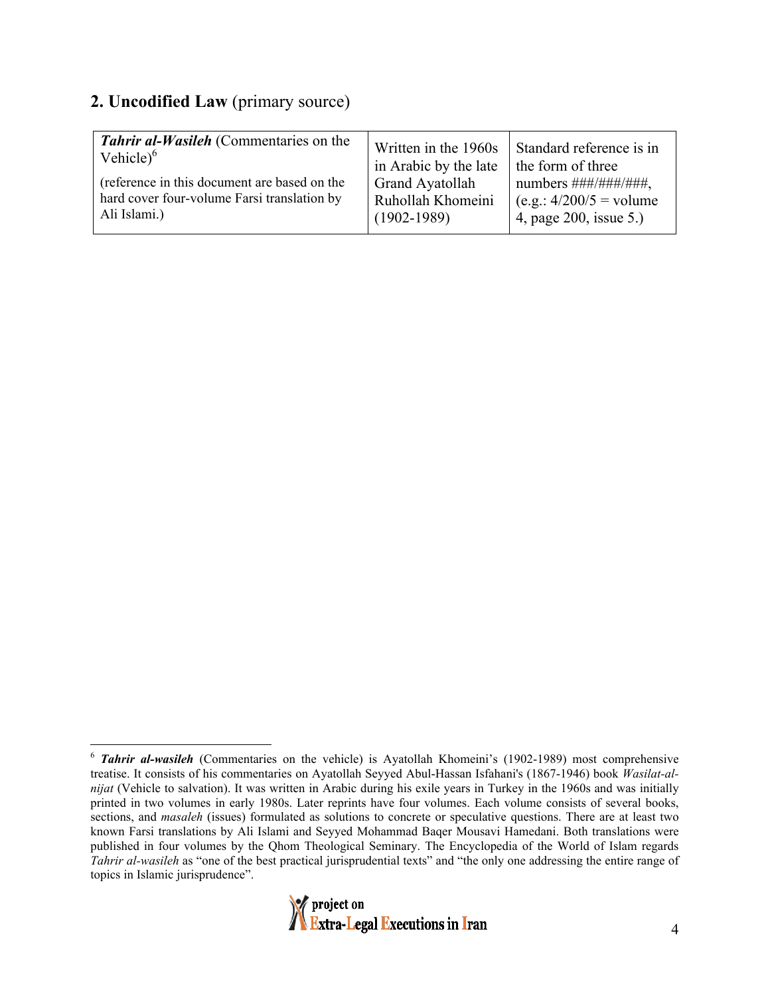#### **2. Uncodified Law** (primary source)

| <b>Tahrir al-Wasileh</b> (Commentaries on the | Written in the 1960s   | Standard reference is in               |
|-----------------------------------------------|------------------------|----------------------------------------|
| Vehicle $^{6}$                                | in Arabic by the late  | the form of three                      |
| (reference in this document are based on the  | <b>Grand Ayatollah</b> | numbers $\# \# \# \# \# \# \# \# \#$ , |
| hard cover four-volume Farsi translation by   | Ruhollah Khomeini      | $(e.g.: 4/200/5 = volume$              |
| Ali Islami.)                                  | $(1902 - 1989)$        | 4, page 200, issue 5.)                 |
|                                               |                        |                                        |

<sup>&</sup>lt;sup>6</sup> *Tahrir al-wasileh* (Commentaries on the vehicle) is Ayatollah Khomeini's (1902-1989) most comprehensive treatise. It consists of his commentaries on Ayatollah Seyyed Abul-Hassan Isfahani's (1867-1946) book *Wasilat-alnijat* (Vehicle to salvation). It was written in Arabic during his exile years in Turkey in the 1960s and was initially printed in two volumes in early 1980s. Later reprints have four volumes. Each volume consists of several books, sections, and *masaleh* (issues) formulated as solutions to concrete or speculative questions. There are at least two known Farsi translations by Ali Islami and Seyyed Mohammad Baqer Mousavi Hamedani. Both translations were published in four volumes by the Qhom Theological Seminary. The Encyclopedia of the World of Islam regards *Tahrir al-wasileh* as "one of the best practical jurisprudential texts" and "the only one addressing the entire range of topics in Islamic jurisprudence".

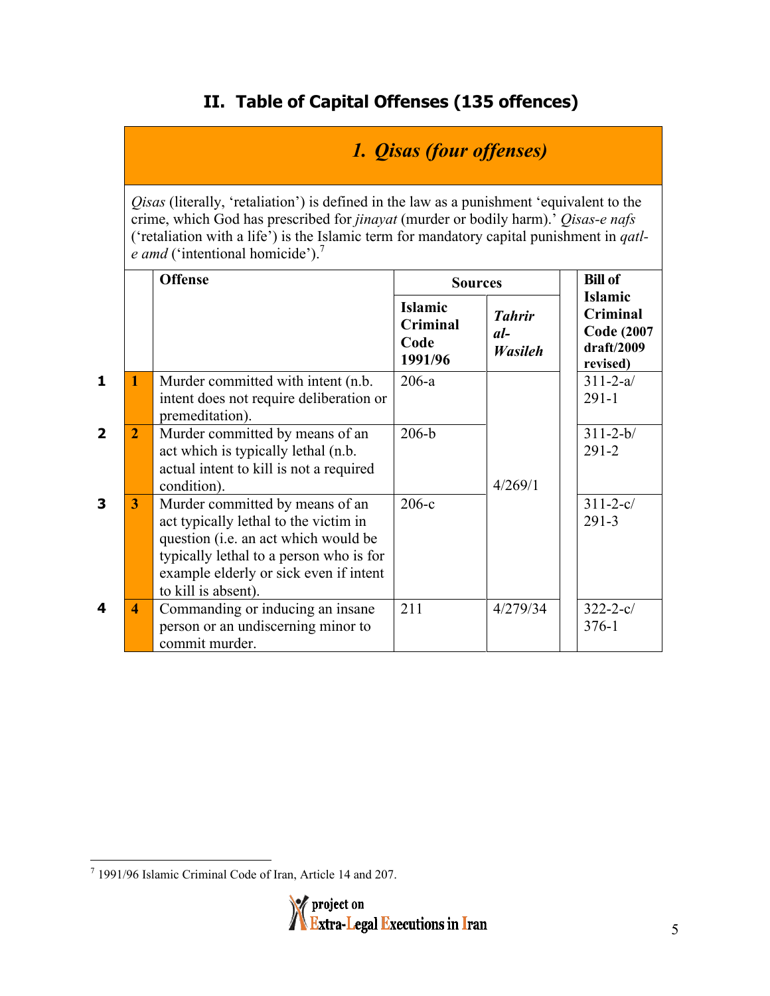## **II. Table of Capital Offenses (135 offences)**

# *1. Qisas (four offenses)*

*Qisas* (literally, 'retaliation') is defined in the law as a punishment 'equivalent to the crime, which God has prescribed for *jinayat* (murder or bodily harm).' *Qisas-e nafs* ('retaliation with a life') is the Islamic term for mandatory capital punishment in *qatle amd* ('intentional homicide').<sup>7</sup>

|                         |                | <b>Offense</b>                                                                                                                                                                                                               | <b>Sources</b>                                |                                          | <b>Bill of</b>                                                            |
|-------------------------|----------------|------------------------------------------------------------------------------------------------------------------------------------------------------------------------------------------------------------------------------|-----------------------------------------------|------------------------------------------|---------------------------------------------------------------------------|
|                         |                |                                                                                                                                                                                                                              | <b>Islamic</b><br>Criminal<br>Code<br>1991/96 | <b>Tahrir</b><br>$al-$<br><b>Wasileh</b> | <b>Islamic</b><br>Criminal<br><b>Code (2007</b><br>draff/2009<br>revised) |
| $\mathbf{1}$            | 1              | Murder committed with intent (n.b.<br>intent does not require deliberation or<br>premeditation).                                                                                                                             | $206-a$                                       |                                          | $311 - 2 - a/$<br>$291 - 1$                                               |
| $\overline{\mathbf{2}}$ | $\overline{2}$ | Murder committed by means of an<br>act which is typically lethal (n.b.<br>actual intent to kill is not a required<br>condition).                                                                                             | $206-b$                                       | 4/269/1                                  | $311 - 2 - b/$<br>$291 - 2$                                               |
| 3                       | 3              | Murder committed by means of an<br>act typically lethal to the victim in<br>question (i.e. an act which would be<br>typically lethal to a person who is for<br>example elderly or sick even if intent<br>to kill is absent). | $206-c$                                       |                                          | $311 - 2 - c/$<br>$291 - 3$                                               |
| 4                       | 4              | Commanding or inducing an insane<br>person or an undiscerning minor to<br>commit murder.                                                                                                                                     | 211                                           | 4/279/34                                 | $322 - 2 - c/$<br>$376 - 1$                                               |

<sup>-&</sup>lt;br>7 1991/96 Islamic Criminal Code of Iran, Article 14 and 207.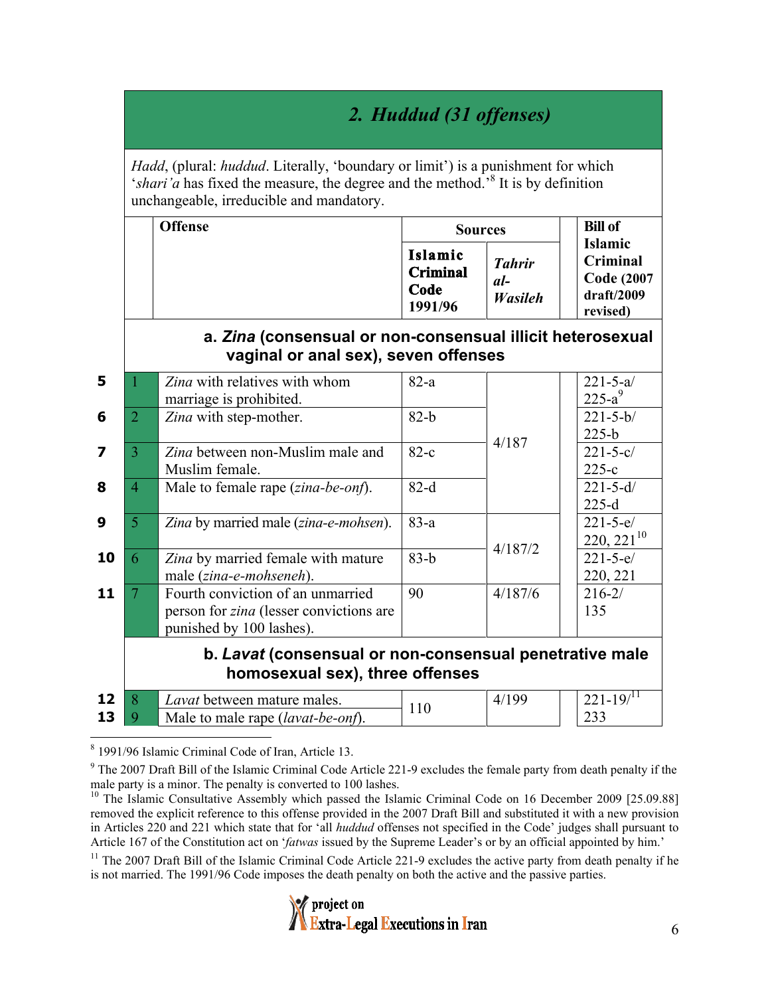# *2. Huddud (31 offenses)*

*Hadd*, (plural: *huddud*. Literally, 'boundary or limit') is a punishment for which '*shari'a* has fixed the measure, the degree and the method.<sup>8</sup> It is by definition unchangeable, irreducible and mandatory.

| Offense | <b>Sources</b>                                | <b>Bill of</b>                    |                                                                            |
|---------|-----------------------------------------------|-----------------------------------|----------------------------------------------------------------------------|
|         | Islamic<br><b>Criminal</b><br>Code<br>1991/96 | <b>Tahrir</b><br>$al-$<br>Wasileh | <b>Islamic</b><br>Criminal<br><b>Code (2007)</b><br>draff/2009<br>revised) |

#### **a.** *Zina* **(consensual or non-consensual illicit heterosexual vaginal or anal sex), seven offenses**

| 5                |   | Zina with relatives with whom<br>marriage is prohibited.                                                        | $82-a$ |         | $221 - 5 - a/$<br>$225-a^9$       |
|------------------|---|-----------------------------------------------------------------------------------------------------------------|--------|---------|-----------------------------------|
| 6                |   | Zina with step-mother.                                                                                          | $82-b$ | 4/187   | $221 - 5 - b/$<br>$225-b$         |
| 7                |   | Zina between non-Muslim male and<br>Muslim female.                                                              | $82-c$ |         | $221 - 5 - c/$<br>$225-c$         |
| 8                | 4 | Male to female rape ( <i>zina-be-onf</i> ).                                                                     | $82-d$ |         | $221 - 5 - d/$<br>$225-d$         |
| $\boldsymbol{9}$ |   | Zina by married male (zina-e-mohsen).                                                                           | $83-a$ |         | $221 - 5 - e/$<br>$220, 221^{10}$ |
| 10               | 6 | Zina by married female with mature<br>male (zina-e-mohseneh).                                                   | $83-b$ | 4/187/2 | $221 - 5 - e/$<br>220, 221        |
| 11               |   | Fourth conviction of an unmarried<br>person for <i>zina</i> (lesser convictions are<br>punished by 100 lashes). | 90     | 4/187/6 | $216 - 2/$<br>135                 |
|                  |   | h <i>Laugh Leapeananal ar nan agnasanal papatrativa mala</i>                                                    |        |         |                                   |

#### **b.** *Lavat* **(consensual or non-consensual penetrative male homosexual sex), three offenses**

| - - | <i>Lavat</i> between mature males.        | ∕I. |      |
|-----|-------------------------------------------|-----|------|
|     | Male to male rape ( <i>lavat-be-onf</i> ) |     | ت ف⊒ |

 <sup>8</sup> 1991/96 Islamic Criminal Code of Iran, Article 13.

<sup>11</sup> The 2007 Draft Bill of the Islamic Criminal Code Article 221-9 excludes the active party from death penalty if he is not married. The 1991/96 Code imposes the death penalty on both the active and the passive parties.



<sup>&</sup>lt;sup>9</sup> The 2007 Draft Bill of the Islamic Criminal Code Article 221-9 excludes the female party from death penalty if the male party is a minor. The penalty is converted to 100 lashes.<br><sup>10</sup> The Islamic Consultative Assembly which passed the Islamic Criminal Code on 16 December 2009 [25.09.88]

removed the explicit reference to this offense provided in the 2007 Draft Bill and substituted it with a new provision in Articles 220 and 221 which state that for 'all *huddud* offenses not specified in the Code' judges shall pursuant to Article 167 of the Constitution act on '*fatwas* issued by the Supreme Leader's or by an official appointed by him.'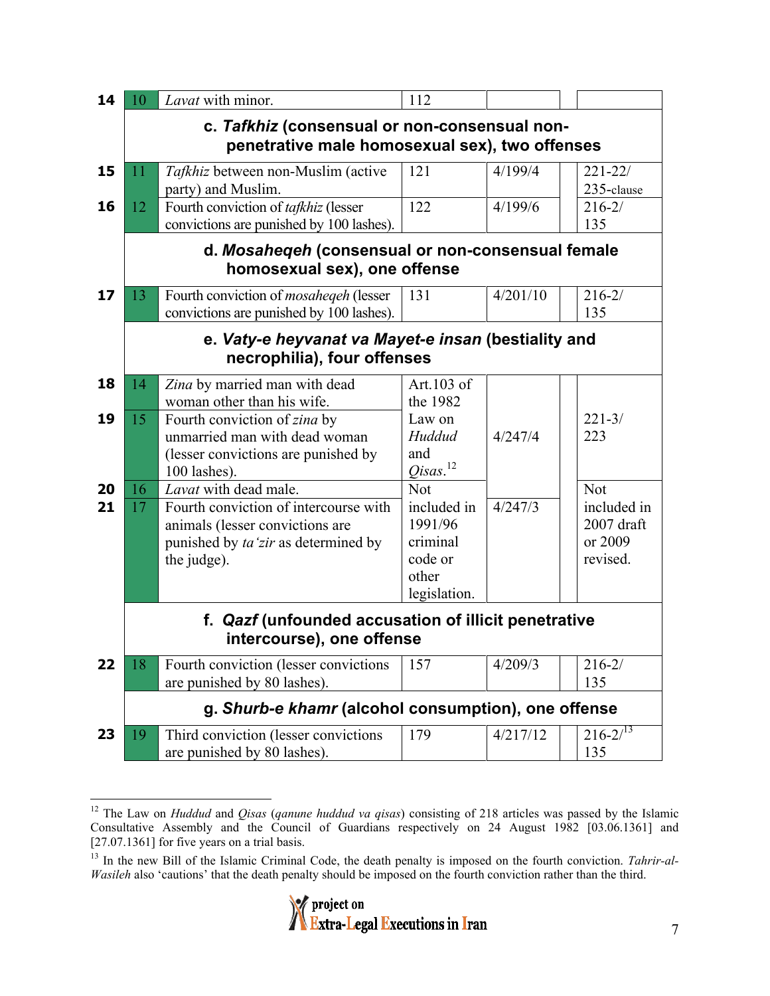| 14 | 10                                             | Lavat with minor.                                                                | 112                    |          |                           |  |  |
|----|------------------------------------------------|----------------------------------------------------------------------------------|------------------------|----------|---------------------------|--|--|
|    |                                                | c. Tafkhiz (consensual or non-consensual non-                                    |                        |          |                           |  |  |
|    | penetrative male homosexual sex), two offenses |                                                                                  |                        |          |                           |  |  |
| 15 | 11                                             | Tafkhiz between non-Muslim (active                                               | 121                    | 4/199/4  | $221 - 22/$               |  |  |
|    |                                                | party) and Muslim.                                                               |                        |          | 235-clause                |  |  |
| 16 | 12                                             | Fourth conviction of tafkhiz (lesser<br>convictions are punished by 100 lashes). | 122                    | 4/199/6  | $216 - 2/$<br>135         |  |  |
|    |                                                | d. Mosahegeh (consensual or non-consensual female                                |                        |          |                           |  |  |
|    |                                                | homosexual sex), one offense                                                     |                        |          |                           |  |  |
| 17 | 13                                             | Fourth conviction of mosaheqeh (lesser                                           | 131                    | 4/201/10 | $216 - 2/$                |  |  |
|    |                                                | convictions are punished by 100 lashes).                                         |                        |          | 135                       |  |  |
|    |                                                | e. Vaty-e heyvanat va Mayet-e insan (bestiality and                              |                        |          |                           |  |  |
|    |                                                | necrophilia), four offenses                                                      |                        |          |                           |  |  |
| 18 | 14                                             | Zina by married man with dead                                                    | Art.103 of             |          |                           |  |  |
| 19 | 15                                             | woman other than his wife.                                                       | the 1982<br>Law on     |          | $221 - 3/$                |  |  |
|    |                                                | Fourth conviction of zina by<br>unmarried man with dead woman                    | Huddud                 | 4/247/4  | 223                       |  |  |
|    |                                                | (lesser convictions are punished by                                              | and                    |          |                           |  |  |
|    |                                                | 100 lashes).                                                                     | $Qisas.^{12}$          |          |                           |  |  |
| 20 | 16                                             | Lavat with dead male.                                                            | <b>Not</b>             |          | Not                       |  |  |
| 21 | 17                                             | Fourth conviction of intercourse with<br>animals (lesser convictions are         | included in<br>1991/96 | 4/247/3  | included in<br>2007 draft |  |  |
|    |                                                | punished by ta'zir as determined by                                              | criminal               |          | or 2009                   |  |  |
|    |                                                | the judge).                                                                      | code or                |          | revised.                  |  |  |
|    |                                                |                                                                                  | other                  |          |                           |  |  |
|    |                                                |                                                                                  | legislation.           |          |                           |  |  |
|    |                                                | f. Qazf (unfounded accusation of illicit penetrative                             |                        |          |                           |  |  |
|    |                                                | intercourse), one offense                                                        |                        |          |                           |  |  |
| 22 | 18                                             | Fourth conviction (lesser convictions<br>are punished by 80 lashes).             | 157                    | 4/209/3  | $216 - 2/$<br>135         |  |  |
|    |                                                | g. Shurb-e khamr (alcohol consumption), one offense                              |                        |          |                           |  |  |
| 23 | 19                                             | Third conviction (lesser convictions                                             | 179                    | 4/217/12 | $216 - 213$               |  |  |
|    |                                                | are punished by 80 lashes).                                                      |                        |          | 135                       |  |  |

 <sup>12</sup> The Law on *Huddud* and *Qisas* (*qanune huddud va qisas*) consisting of 218 articles was passed by the Islamic Consultative Assembly and the Council of Guardians respectively on 24 August 1982 [03.06.1361] and [27.07.1361] for five years on a trial basis.

<sup>&</sup>lt;sup>13</sup> In the new Bill of the Islamic Criminal Code, the death penalty is imposed on the fourth conviction. *Tahrir-al-Wasileh* also 'cautions' that the death penalty should be imposed on the fourth conviction rather than the third.

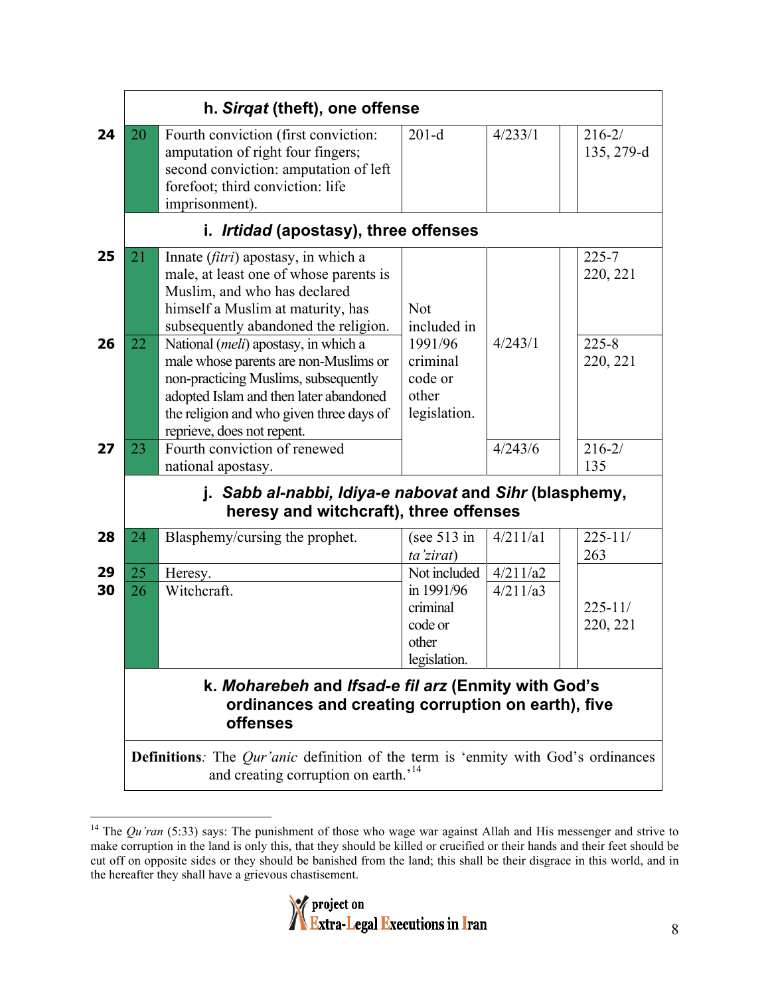|          | h. Sirgat (theft), one offense                                                                                                                      |                                                                                                                                                                                                                                                    |                                                                            |                      |                          |  |  |
|----------|-----------------------------------------------------------------------------------------------------------------------------------------------------|----------------------------------------------------------------------------------------------------------------------------------------------------------------------------------------------------------------------------------------------------|----------------------------------------------------------------------------|----------------------|--------------------------|--|--|
| 24       | 20                                                                                                                                                  | Fourth conviction (first conviction:<br>amputation of right four fingers;<br>second conviction: amputation of left<br>forefoot; third conviction: life<br>imprisonment).                                                                           | $201-d$                                                                    | 4/233/1              | $216 - 2/$<br>135, 279-d |  |  |
|          |                                                                                                                                                     | i. Irtidad (apostasy), three offenses                                                                                                                                                                                                              |                                                                            |                      |                          |  |  |
| 25       | 21                                                                                                                                                  | Innate (fitri) apostasy, in which a<br>male, at least one of whose parents is<br>Muslim, and who has declared<br>himself a Muslim at maturity, has<br>subsequently abandoned the religion.                                                         | <b>Not</b><br>included in                                                  |                      | $225 - 7$<br>220, 221    |  |  |
| 26       | 22                                                                                                                                                  | National ( <i>meli</i> ) apostasy, in which a<br>male whose parents are non-Muslims or<br>non-practicing Muslims, subsequently<br>adopted Islam and then later abandoned<br>the religion and who given three days of<br>reprieve, does not repent. | 1991/96<br>criminal<br>code or<br>other<br>legislation.                    | 4/243/1              | $225 - 8$<br>220, 221    |  |  |
| 27       | 23                                                                                                                                                  | Fourth conviction of renewed<br>national apostasy.                                                                                                                                                                                                 |                                                                            | 4/243/6              | $216 - 2/$<br>135        |  |  |
|          |                                                                                                                                                     | j. Sabb al-nabbi, Idiya-e nabovat and Sihr (blasphemy,<br>heresy and witchcraft), three offenses                                                                                                                                                   |                                                                            |                      |                          |  |  |
| 28       | 24                                                                                                                                                  | Blasphemy/cursing the prophet.                                                                                                                                                                                                                     | (see $513$ in<br>ta'zirat)                                                 | 4/211/a1             | $225 - 11/$<br>263       |  |  |
| 29<br>30 | 25<br>26                                                                                                                                            | Heresy.<br>Witchcraft.                                                                                                                                                                                                                             | Not included<br>in 1991/96<br>criminal<br>code or<br>other<br>legislation. | 4/211/a2<br>4/211/a3 | $225 - 11/$<br>220, 221  |  |  |
|          | k. Moharebeh and Ifsad-e fil arz (Enmity with God's<br>ordinances and creating corruption on earth), five<br><b>offenses</b>                        |                                                                                                                                                                                                                                                    |                                                                            |                      |                          |  |  |
|          | <b>Definitions</b> : The <i>Qur'anic</i> definition of the term is 'enmity with God's ordinances<br>and creating corruption on earth. <sup>14</sup> |                                                                                                                                                                                                                                                    |                                                                            |                      |                          |  |  |

<sup>&</sup>lt;sup>14</sup> The *Qu'ran* (5:33) says: The punishment of those who wage war against Allah and His messenger and strive to make corruption in the land is only this, that they should be killed or crucified or their hands and their feet should be cut off on opposite sides or they should be banished from the land; this shall be their disgrace in this world, and in the hereafter they shall have a grievous chastisement.

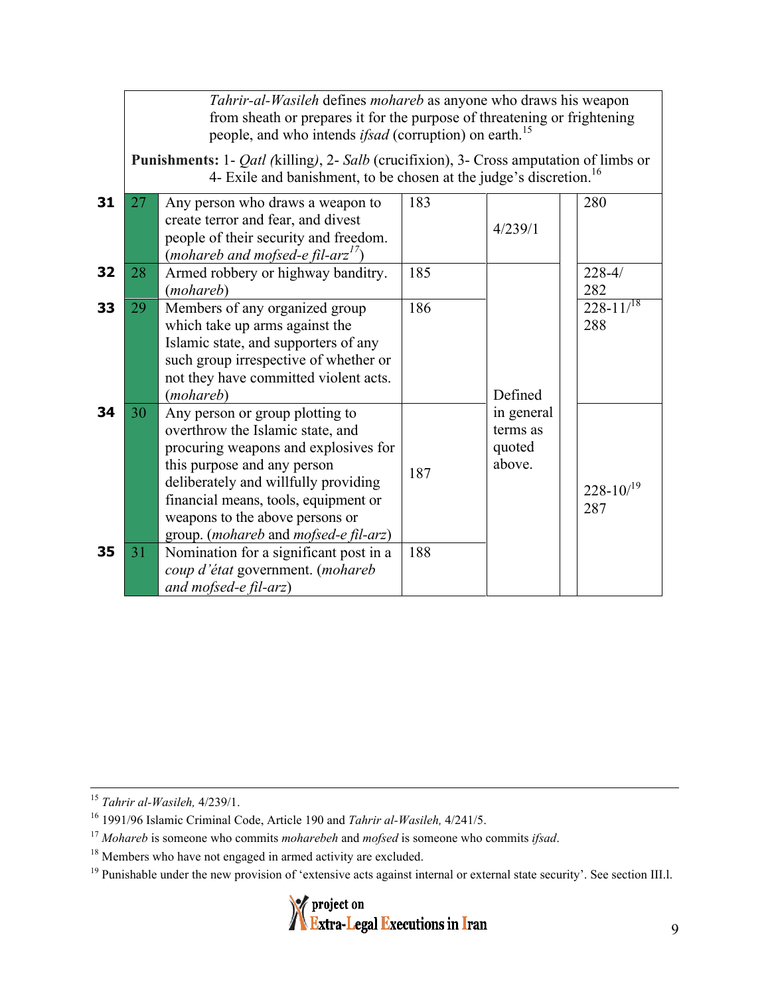*Tahrir-al-Wasileh* defines *mohareb* as anyone who draws his weapon from sheath or prepares it for the purpose of threatening or frightening people, and who intends *ifsad* (corruption) on earth.<sup>15</sup> **Punishments:** 1- *Qatl (*killing*)*, 2- *Salb* (crucifixion), 3- Cross amputation of limbs or 4- Exile and banishment, to be chosen at the judge's discretion.<sup>16</sup> **31** 27 Any person who draws a weapon to create terror and fear, and divest people of their security and freedom. (*mohareb and mofsed-e fil-arz 17*) 183 4/239/1 280 **32** 28 Armed robbery or highway banditry. (*mohareb*) 185 | 228-4/ 282 **33** 29 Members of any organized group which take up arms against the Islamic state, and supporters of any such group irrespective of whether or not they have committed violent acts. (*mohareb*) 186 228-11/<sup>18</sup> 288 **34** 30 Any person or group plotting to overthrow the Islamic state, and procuring weapons and explosives for this purpose and any person deliberately and willfully providing financial means, tools, equipment or weapons to the above persons or group. (*mohareb* and *mofsed-e fil-arz*) 187 **35** 31 Nomination for a significant post in a *coup d'état* government. (*mohareb and mofsed-e fil-arz*) 188 Defined in general terms as quoted above.  $228 - 10/<sup>19</sup>$ 287

15 *Tahrir al-Wasileh,* 4/239/1.

 $19$  Punishable under the new provision of 'extensive acts against internal or external state security'. See section III.1.



<sup>16</sup> 1991/96 Islamic Criminal Code, Article 190 and *Tahrir al-Wasileh,* 4/241/5.

<sup>17</sup> *Mohareb* is someone who commits *moharebeh* and *mofsed* is someone who commits *ifsad*.

<sup>&</sup>lt;sup>18</sup> Members who have not engaged in armed activity are excluded.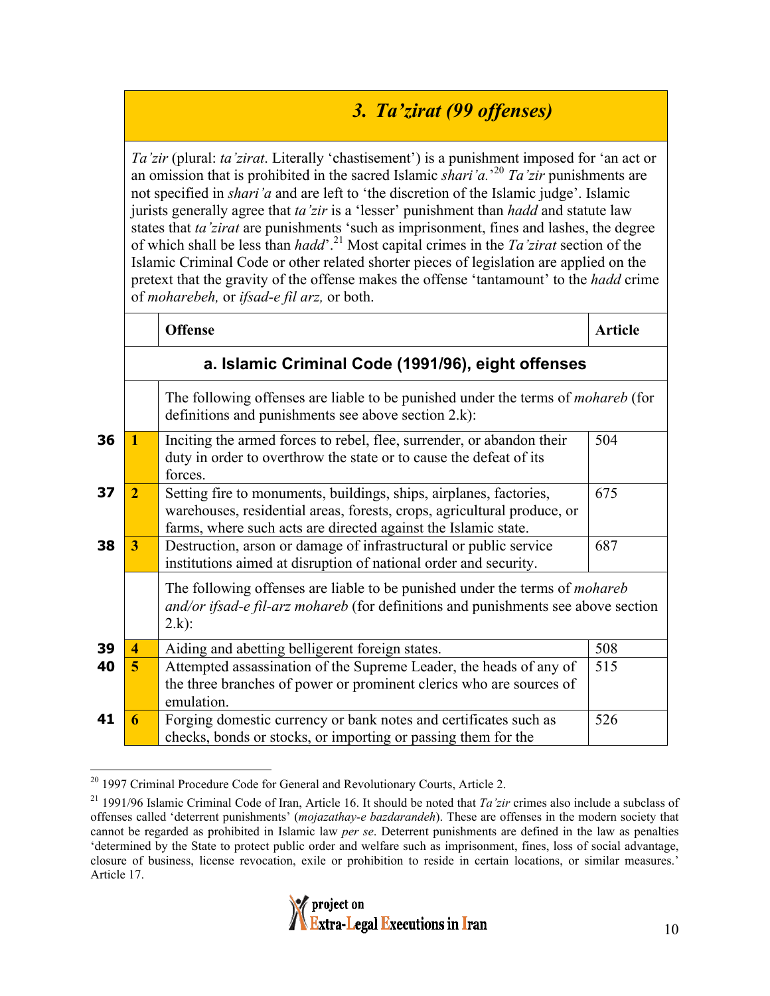## *3. Ta'zirat (99 offenses)*

*Ta'zir* (plural: *ta'zirat*. Literally 'chastisement') is a punishment imposed for 'an act or an omission that is prohibited in the sacred Islamic *shari'a.*' <sup>20</sup> *Ta'zir* punishments are not specified in *shari'a* and are left to 'the discretion of the Islamic judge'. Islamic jurists generally agree that *ta'zir* is a 'lesser' punishment than *hadd* and statute law states that *ta'zirat* are punishments 'such as imprisonment, fines and lashes, the degree of which shall be less than *hadd*'. 21 Most capital crimes in the *Ta'zirat* section of the Islamic Criminal Code or other related shorter pieces of legislation are applied on the pretext that the gravity of the offense makes the offense 'tantamount' to the *hadd* crime of *moharebeh,* or *ifsad-e fil arz,* or both.

|    |                                                                                                                                                | <b>Offense</b>                                                                                                                                                                                                  | <b>Article</b> |
|----|------------------------------------------------------------------------------------------------------------------------------------------------|-----------------------------------------------------------------------------------------------------------------------------------------------------------------------------------------------------------------|----------------|
|    | a. Islamic Criminal Code (1991/96), eight offenses                                                                                             |                                                                                                                                                                                                                 |                |
|    | The following offenses are liable to be punished under the terms of <i>mohareb</i> (for<br>definitions and punishments see above section 2.k): |                                                                                                                                                                                                                 |                |
| 36 |                                                                                                                                                | Inciting the armed forces to rebel, flee, surrender, or abandon their<br>duty in order to overthrow the state or to cause the defeat of its<br>forces.                                                          | 504            |
| 37 | $\overline{2}$                                                                                                                                 | Setting fire to monuments, buildings, ships, airplanes, factories,<br>warehouses, residential areas, forests, crops, agricultural produce, or<br>farms, where such acts are directed against the Islamic state. | 675            |
| 38 | 3                                                                                                                                              | Destruction, arson or damage of infrastructural or public service<br>institutions aimed at disruption of national order and security.                                                                           | 687            |
|    |                                                                                                                                                | The following offenses are liable to be punished under the terms of <i>mohareb</i><br>and/or ifsad-e fil-arz mohareb (for definitions and punishments see above section<br>$2.k$ :                              |                |
| 39 | 4                                                                                                                                              | Aiding and abetting belligerent foreign states.                                                                                                                                                                 | 508            |
| 40 | 5                                                                                                                                              | Attempted assassination of the Supreme Leader, the heads of any of<br>the three branches of power or prominent clerics who are sources of<br>emulation.                                                         | 515            |
| 41 | 6                                                                                                                                              | Forging domestic currency or bank notes and certificates such as<br>checks, bonds or stocks, or importing or passing them for the                                                                               | 526            |

<sup>&</sup>lt;sup>20</sup> 1997 Criminal Procedure Code for General and Revolutionary Courts, Article 2.

<sup>21 1991/96</sup> Islamic Criminal Code of Iran, Article 16. It should be noted that *Ta'zir* crimes also include a subclass of offenses called 'deterrent punishments' (*mojazathay-e bazdarandeh*). These are offenses in the modern society that cannot be regarded as prohibited in Islamic law *per se*. Deterrent punishments are defined in the law as penalties 'determined by the State to protect public order and welfare such as imprisonment, fines, loss of social advantage, closure of business, license revocation, exile or prohibition to reside in certain locations, or similar measures.' Article 17.

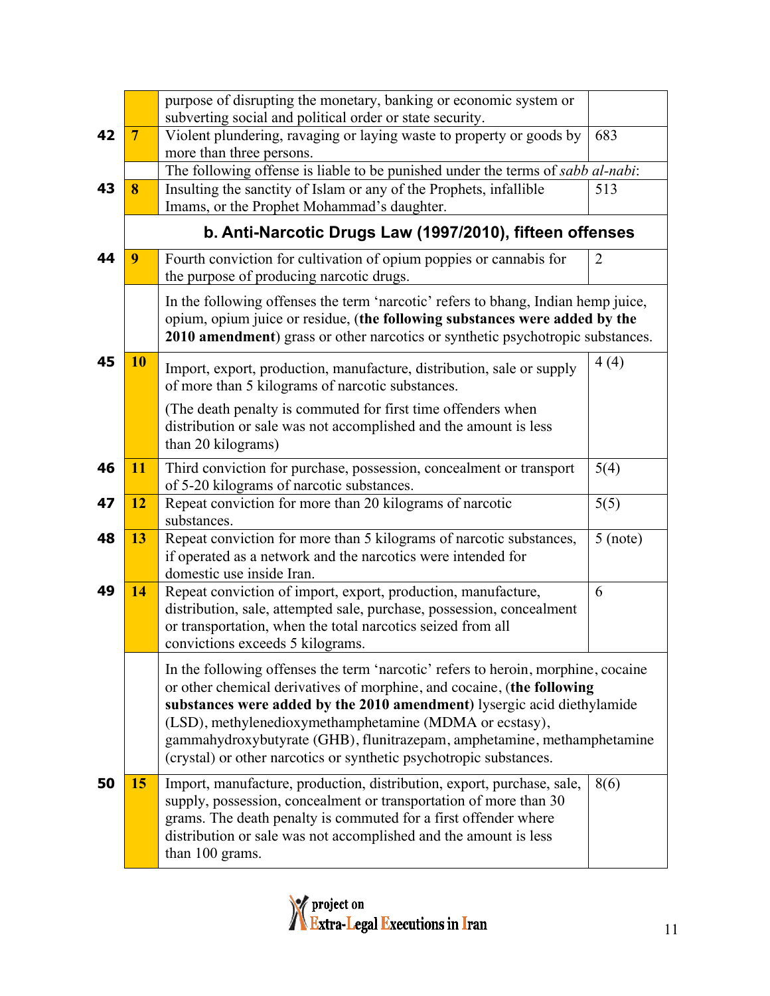|    |                | purpose of disrupting the monetary, banking or economic system or<br>subverting social and political order or state security.                                                                                                                                                                                                                                                                                                                      |            |  |
|----|----------------|----------------------------------------------------------------------------------------------------------------------------------------------------------------------------------------------------------------------------------------------------------------------------------------------------------------------------------------------------------------------------------------------------------------------------------------------------|------------|--|
| 42 | $\overline{7}$ | Violent plundering, ravaging or laying waste to property or goods by<br>more than three persons.                                                                                                                                                                                                                                                                                                                                                   | 683        |  |
|    |                | The following offense is liable to be punished under the terms of sabb al-nabi:                                                                                                                                                                                                                                                                                                                                                                    |            |  |
| 43 | 8              | Insulting the sanctity of Islam or any of the Prophets, infallible<br>Imams, or the Prophet Mohammad's daughter.                                                                                                                                                                                                                                                                                                                                   | 513        |  |
|    |                | b. Anti-Narcotic Drugs Law (1997/2010), fifteen offenses                                                                                                                                                                                                                                                                                                                                                                                           |            |  |
| 44 | 9              | Fourth conviction for cultivation of opium poppies or cannabis for<br>the purpose of producing narcotic drugs.                                                                                                                                                                                                                                                                                                                                     | 2          |  |
|    |                | In the following offenses the term 'narcotic' refers to bhang, Indian hemp juice,<br>opium, opium juice or residue, (the following substances were added by the<br>2010 amendment) grass or other narcotics or synthetic psychotropic substances.                                                                                                                                                                                                  |            |  |
| 45 | 10             | Import, export, production, manufacture, distribution, sale or supply<br>of more than 5 kilograms of narcotic substances.                                                                                                                                                                                                                                                                                                                          | 4(4)       |  |
|    |                | (The death penalty is commuted for first time offenders when<br>distribution or sale was not accomplished and the amount is less<br>than 20 kilograms)                                                                                                                                                                                                                                                                                             |            |  |
| 46 | 11             | Third conviction for purchase, possession, concealment or transport<br>of 5-20 kilograms of narcotic substances.                                                                                                                                                                                                                                                                                                                                   | 5(4)       |  |
| 47 | 12             | Repeat conviction for more than 20 kilograms of narcotic<br>substances.                                                                                                                                                                                                                                                                                                                                                                            | 5(5)       |  |
| 48 | 13             | Repeat conviction for more than 5 kilograms of narcotic substances,<br>if operated as a network and the narcotics were intended for<br>domestic use inside Iran.                                                                                                                                                                                                                                                                                   | $5$ (note) |  |
| 49 | 14             | Repeat conviction of import, export, production, manufacture,<br>distribution, sale, attempted sale, purchase, possession, concealment<br>or transportation, when the total narcotics seized from all<br>convictions exceeds 5 kilograms.                                                                                                                                                                                                          | 6          |  |
|    |                | In the following offenses the term 'narcotic' refers to heroin, morphine, cocaine<br>or other chemical derivatives of morphine, and cocaine, (the following<br>substances were added by the 2010 amendment) lysergic acid diethylamide<br>(LSD), methylenedioxymethamphetamine (MDMA or ecstasy),<br>gammahydroxybutyrate (GHB), flunitrazepam, amphetamine, methamphetamine<br>(crystal) or other narcotics or synthetic psychotropic substances. |            |  |
| 50 | 15             | Import, manufacture, production, distribution, export, purchase, sale,<br>supply, possession, concealment or transportation of more than 30<br>grams. The death penalty is commuted for a first offender where<br>distribution or sale was not accomplished and the amount is less<br>than 100 grams.                                                                                                                                              | 8(6)       |  |

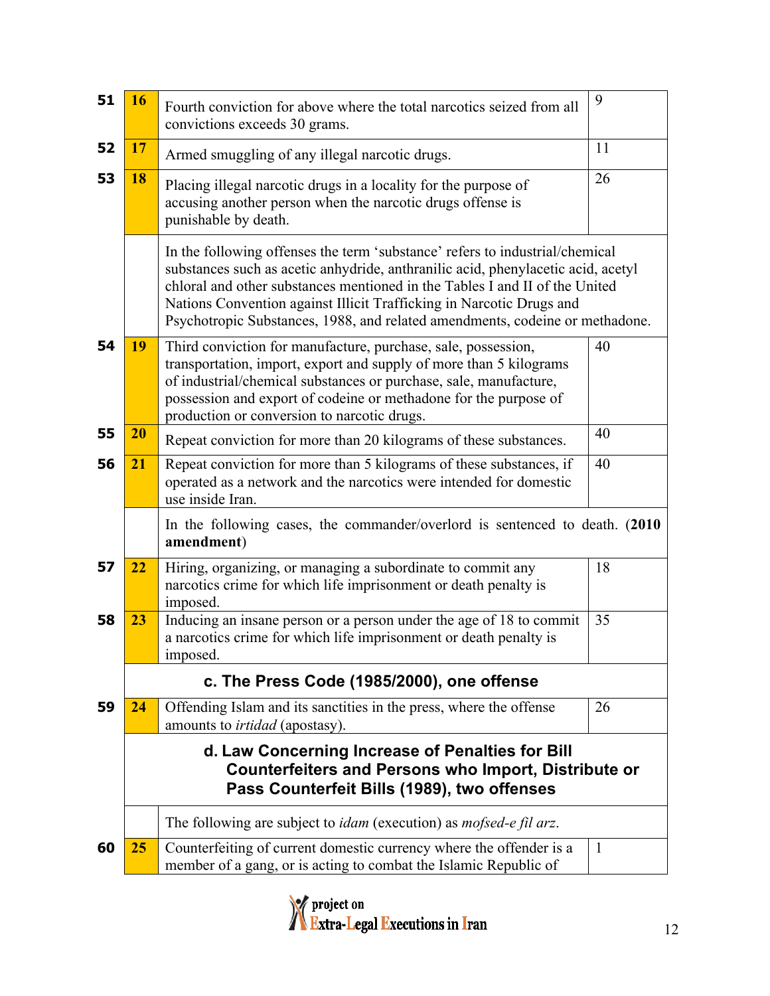| 51 | 16                                                                                                                                                             | Fourth conviction for above where the total narcotics seized from all<br>convictions exceeds 30 grams.                                                                                                                                                                                                                                                                                                  | 9            |  |
|----|----------------------------------------------------------------------------------------------------------------------------------------------------------------|---------------------------------------------------------------------------------------------------------------------------------------------------------------------------------------------------------------------------------------------------------------------------------------------------------------------------------------------------------------------------------------------------------|--------------|--|
| 52 | 17                                                                                                                                                             | Armed smuggling of any illegal narcotic drugs.                                                                                                                                                                                                                                                                                                                                                          | 11           |  |
| 53 | 18                                                                                                                                                             | Placing illegal narcotic drugs in a locality for the purpose of<br>accusing another person when the narcotic drugs offense is<br>punishable by death.                                                                                                                                                                                                                                                   | 26           |  |
|    |                                                                                                                                                                | In the following offenses the term 'substance' refers to industrial/chemical<br>substances such as acetic anhydride, anthranilic acid, phenylacetic acid, acetyl<br>chloral and other substances mentioned in the Tables I and II of the United<br>Nations Convention against Illicit Trafficking in Narcotic Drugs and<br>Psychotropic Substances, 1988, and related amendments, codeine or methadone. |              |  |
| 54 | 19                                                                                                                                                             | Third conviction for manufacture, purchase, sale, possession,<br>transportation, import, export and supply of more than 5 kilograms<br>of industrial/chemical substances or purchase, sale, manufacture,<br>possession and export of codeine or methadone for the purpose of<br>production or conversion to narcotic drugs.                                                                             | 40           |  |
| 55 | 20                                                                                                                                                             | Repeat conviction for more than 20 kilograms of these substances.                                                                                                                                                                                                                                                                                                                                       | 40           |  |
| 56 | 21                                                                                                                                                             | Repeat conviction for more than 5 kilograms of these substances, if<br>operated as a network and the narcotics were intended for domestic<br>use inside Iran.                                                                                                                                                                                                                                           | 40           |  |
|    |                                                                                                                                                                | In the following cases, the commander/overlord is sentenced to death. (2010)<br>amendment)                                                                                                                                                                                                                                                                                                              |              |  |
| 57 | 22                                                                                                                                                             | Hiring, organizing, or managing a subordinate to commit any<br>narcotics crime for which life imprisonment or death penalty is<br>imposed.                                                                                                                                                                                                                                                              | 18           |  |
| 58 | 23                                                                                                                                                             | Inducing an insane person or a person under the age of 18 to commit<br>a narcotics crime for which life imprisonment or death penalty is<br>imposed.                                                                                                                                                                                                                                                    | 35           |  |
|    |                                                                                                                                                                | c. The Press Code (1985/2000), one offense                                                                                                                                                                                                                                                                                                                                                              |              |  |
| 59 | 24                                                                                                                                                             | Offending Islam and its sanctities in the press, where the offense<br>amounts to <i>irtidad</i> (apostasy).                                                                                                                                                                                                                                                                                             | 26           |  |
|    | d. Law Concerning Increase of Penalties for Bill<br><b>Counterfeiters and Persons who Import, Distribute or</b><br>Pass Counterfeit Bills (1989), two offenses |                                                                                                                                                                                                                                                                                                                                                                                                         |              |  |
|    |                                                                                                                                                                | The following are subject to <i>idam</i> (execution) as <i>mofsed-e fil arz</i> .                                                                                                                                                                                                                                                                                                                       |              |  |
| 60 | 25                                                                                                                                                             | Counterfeiting of current domestic currency where the offender is a<br>member of a gang, or is acting to combat the Islamic Republic of                                                                                                                                                                                                                                                                 | $\mathbf{1}$ |  |

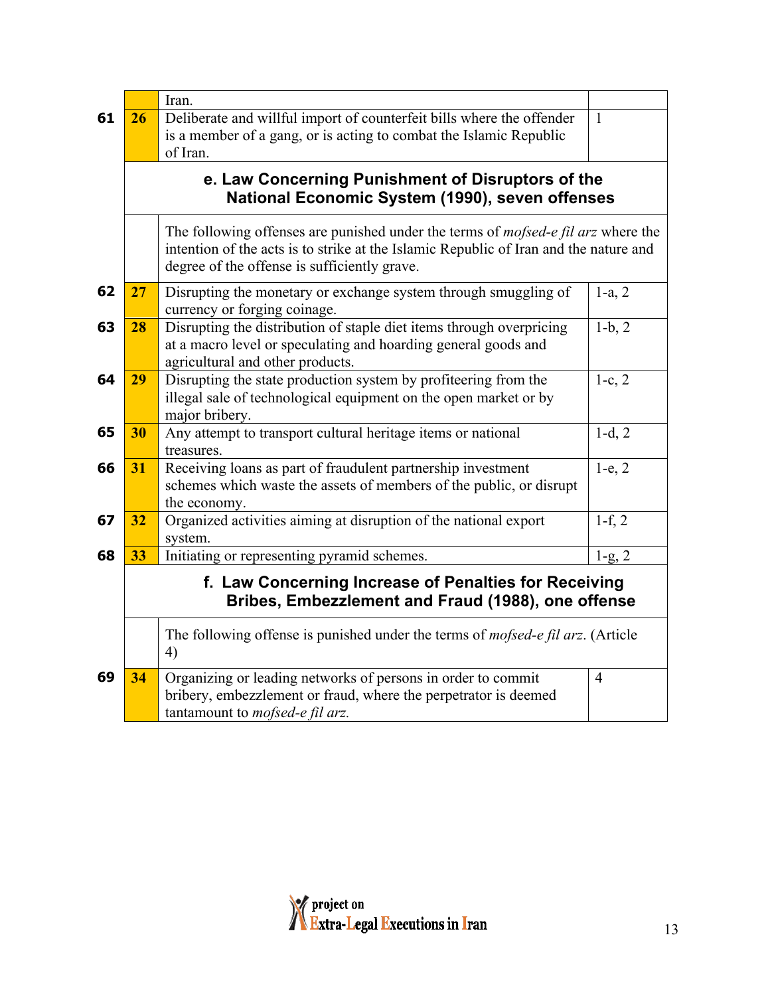|                                                                                                                                                                                                                                   |                                                                                                             | Iran.                                                                                                                                                                      |                |  |  |
|-----------------------------------------------------------------------------------------------------------------------------------------------------------------------------------------------------------------------------------|-------------------------------------------------------------------------------------------------------------|----------------------------------------------------------------------------------------------------------------------------------------------------------------------------|----------------|--|--|
| 61                                                                                                                                                                                                                                | 26                                                                                                          | Deliberate and willful import of counterfeit bills where the offender<br>is a member of a gang, or is acting to combat the Islamic Republic                                | 1              |  |  |
|                                                                                                                                                                                                                                   |                                                                                                             | of Iran.                                                                                                                                                                   |                |  |  |
|                                                                                                                                                                                                                                   | e. Law Concerning Punishment of Disruptors of the<br>National Economic System (1990), seven offenses        |                                                                                                                                                                            |                |  |  |
| The following offenses are punished under the terms of <i>mofsed-e fil arz</i> where the<br>intention of the acts is to strike at the Islamic Republic of Iran and the nature and<br>degree of the offense is sufficiently grave. |                                                                                                             |                                                                                                                                                                            |                |  |  |
| 62                                                                                                                                                                                                                                | 27                                                                                                          | Disrupting the monetary or exchange system through smuggling of<br>currency or forging coinage.                                                                            | $1-a, 2$       |  |  |
| 63                                                                                                                                                                                                                                | 28                                                                                                          | Disrupting the distribution of staple diet items through overpricing<br>at a macro level or speculating and hoarding general goods and<br>agricultural and other products. | $1-b, 2$       |  |  |
| 64                                                                                                                                                                                                                                | 29                                                                                                          | Disrupting the state production system by profiteering from the<br>illegal sale of technological equipment on the open market or by<br>major bribery.                      | $1-c, 2$       |  |  |
| 65                                                                                                                                                                                                                                | 30                                                                                                          | Any attempt to transport cultural heritage items or national<br>treasures.                                                                                                 | $1-d, 2$       |  |  |
| 66                                                                                                                                                                                                                                | 31                                                                                                          | Receiving loans as part of fraudulent partnership investment<br>schemes which waste the assets of members of the public, or disrupt<br>the economy.                        | $1-e, 2$       |  |  |
| 67                                                                                                                                                                                                                                | 32                                                                                                          | Organized activities aiming at disruption of the national export<br>system.                                                                                                | $1-f, 2$       |  |  |
| 68                                                                                                                                                                                                                                | 33                                                                                                          | Initiating or representing pyramid schemes.                                                                                                                                | $1-g, 2$       |  |  |
|                                                                                                                                                                                                                                   | f. Law Concerning Increase of Penalties for Receiving<br>Bribes, Embezzlement and Fraud (1988), one offense |                                                                                                                                                                            |                |  |  |
|                                                                                                                                                                                                                                   | The following offense is punished under the terms of <i>mofsed-e fil arz</i> . (Article<br>4)               |                                                                                                                                                                            |                |  |  |
| 69                                                                                                                                                                                                                                | 34                                                                                                          | Organizing or leading networks of persons in order to commit<br>bribery, embezzlement or fraud, where the perpetrator is deemed<br>tantamount to <i>mofsed-e fil arz</i> . | $\overline{4}$ |  |  |

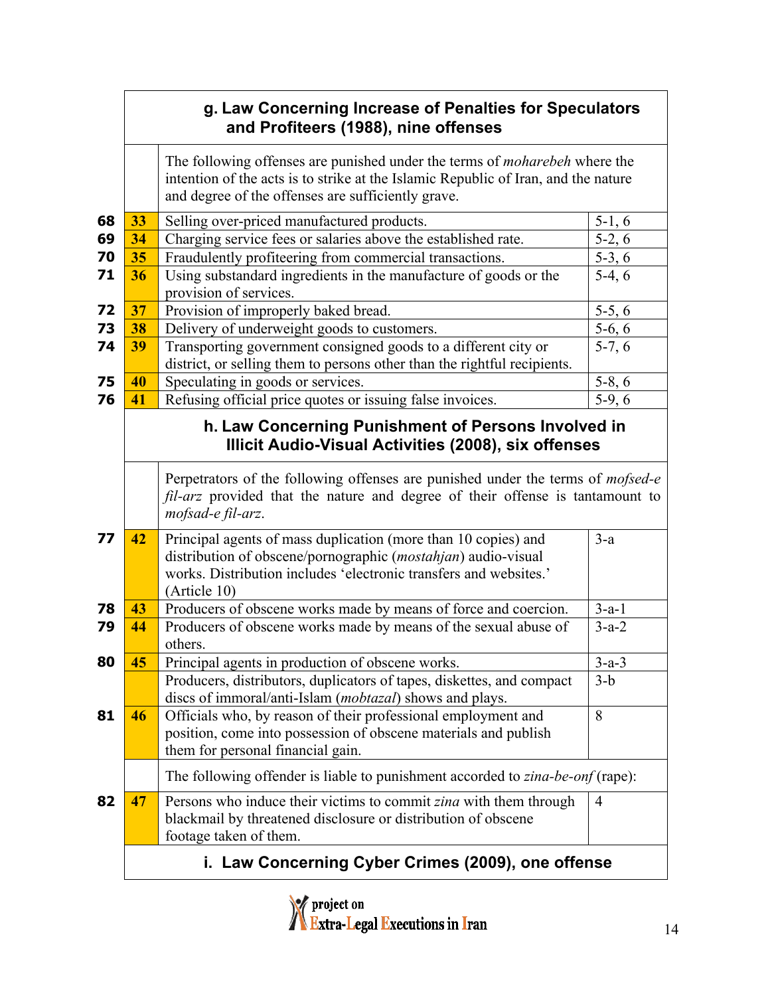### **g. Law Concerning Increase of Penalties for Speculators and Profiteers (1988), nine offenses**

The following offenses are punished under the terms of *moharebeh* where the intention of the acts is to strike at the Islamic Republic of Iran, and the nature and degree of the offenses are sufficiently grave.

| 68 | 33                                                                                                          | Selling over-priced manufactured products.                                                                                                                                                                           | $5-1, 6$       |  |
|----|-------------------------------------------------------------------------------------------------------------|----------------------------------------------------------------------------------------------------------------------------------------------------------------------------------------------------------------------|----------------|--|
| 69 | 34                                                                                                          | Charging service fees or salaries above the established rate.                                                                                                                                                        | $5-2, 6$       |  |
| 70 | 35                                                                                                          | Fraudulently profiteering from commercial transactions.                                                                                                                                                              | $5-3, 6$       |  |
| 71 | 36                                                                                                          | Using substandard ingredients in the manufacture of goods or the                                                                                                                                                     | $5-4, 6$       |  |
|    |                                                                                                             | provision of services.                                                                                                                                                                                               |                |  |
| 72 | 37                                                                                                          | Provision of improperly baked bread.                                                                                                                                                                                 | $5-5, 6$       |  |
| 73 | 38                                                                                                          | Delivery of underweight goods to customers.                                                                                                                                                                          | $5-6, 6$       |  |
| 74 | 39                                                                                                          | Transporting government consigned goods to a different city or                                                                                                                                                       | $5-7, 6$       |  |
|    |                                                                                                             | district, or selling them to persons other than the rightful recipients.                                                                                                                                             |                |  |
| 75 | 40                                                                                                          | Speculating in goods or services.                                                                                                                                                                                    | $5-8, 6$       |  |
| 76 | 41                                                                                                          | Refusing official price quotes or issuing false invoices.                                                                                                                                                            | $5-9, 6$       |  |
|    | h. Law Concerning Punishment of Persons Involved in<br>Illicit Audio-Visual Activities (2008), six offenses |                                                                                                                                                                                                                      |                |  |
|    |                                                                                                             | Perpetrators of the following offenses are punished under the terms of mofsed-e<br>fil-arz provided that the nature and degree of their offense is tantamount to<br>mofsad-e fil-arz.                                |                |  |
| 77 | 42                                                                                                          | Principal agents of mass duplication (more than 10 copies) and<br>distribution of obscene/pornographic (mostahjan) audio-visual<br>works. Distribution includes 'electronic transfers and websites.'<br>(Article 10) | $3-a$          |  |
| 78 | 43                                                                                                          | Producers of obscene works made by means of force and coercion.                                                                                                                                                      | $3-a-1$        |  |
| 79 | 44                                                                                                          | Producers of obscene works made by means of the sexual abuse of<br>others.                                                                                                                                           | $3-a-2$        |  |
| 80 | 45                                                                                                          | Principal agents in production of obscene works.                                                                                                                                                                     | $3-a-3$        |  |
|    |                                                                                                             | Producers, distributors, duplicators of tapes, diskettes, and compact<br>discs of immoral/anti-Islam ( <i>mobtazal</i> ) shows and plays.                                                                            | $3-b$          |  |
| 81 | 46                                                                                                          | Officials who, by reason of their professional employment and<br>position, come into possession of obscene materials and publish<br>them for personal financial gain.                                                | 8              |  |
|    |                                                                                                             | The following offender is liable to punishment accorded to zina-be-onf (rape):                                                                                                                                       |                |  |
| 82 | 47                                                                                                          | Persons who induce their victims to commit zina with them through<br>blackmail by threatened disclosure or distribution of obscene<br>footage taken of them.                                                         | $\overline{4}$ |  |
|    | i. Law Concerning Cyber Crimes (2009), one offense                                                          |                                                                                                                                                                                                                      |                |  |

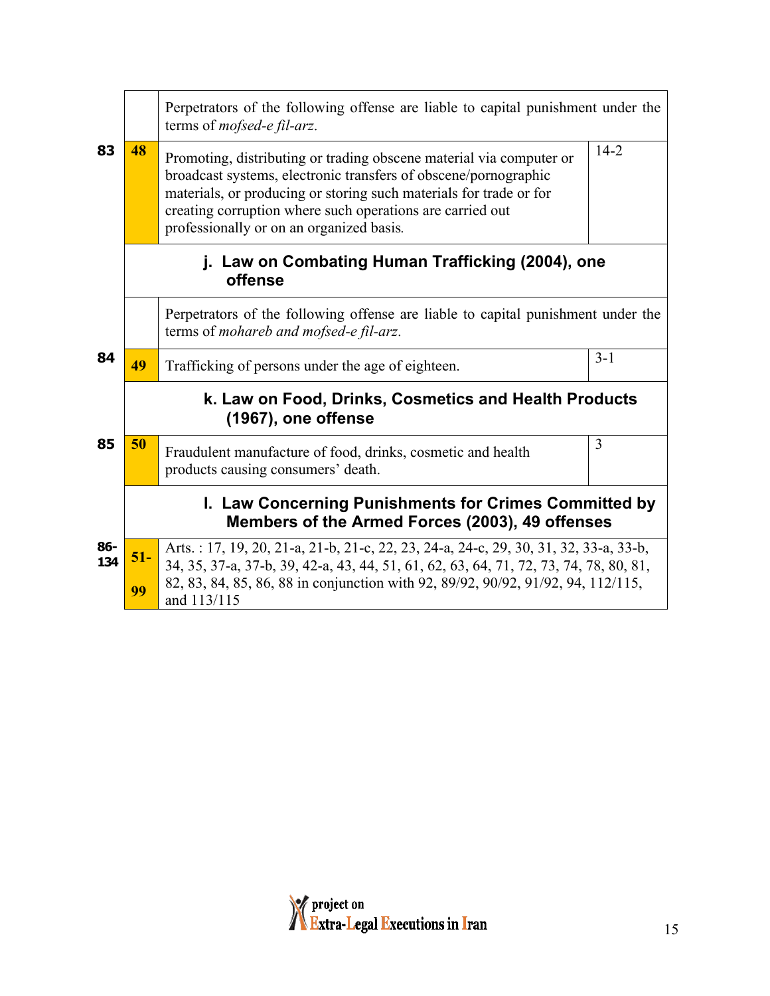|                                                                                                                            | Perpetrators of the following offense are liable to capital punishment under the                         |                                                                                                                                                                                                                                                                                                                       |                |  |  |
|----------------------------------------------------------------------------------------------------------------------------|----------------------------------------------------------------------------------------------------------|-----------------------------------------------------------------------------------------------------------------------------------------------------------------------------------------------------------------------------------------------------------------------------------------------------------------------|----------------|--|--|
| 83                                                                                                                         | 48                                                                                                       | Promoting, distributing or trading obscene material via computer or<br>broadcast systems, electronic transfers of obscene/pornographic<br>materials, or producing or storing such materials for trade or for<br>creating corruption where such operations are carried out<br>professionally or on an organized basis. | $14-2$         |  |  |
|                                                                                                                            | j. Law on Combating Human Trafficking (2004), one<br>offense                                             |                                                                                                                                                                                                                                                                                                                       |                |  |  |
| Perpetrators of the following offense are liable to capital punishment under the<br>terms of mohareb and mofsed-e fil-arz. |                                                                                                          |                                                                                                                                                                                                                                                                                                                       |                |  |  |
| 84                                                                                                                         | 49                                                                                                       | Trafficking of persons under the age of eighteen.                                                                                                                                                                                                                                                                     | $3 - 1$        |  |  |
|                                                                                                                            | k. Law on Food, Drinks, Cosmetics and Health Products<br>(1967), one offense                             |                                                                                                                                                                                                                                                                                                                       |                |  |  |
| 85                                                                                                                         | 50                                                                                                       | Fraudulent manufacture of food, drinks, cosmetic and health<br>products causing consumers' death.                                                                                                                                                                                                                     | $\overline{3}$ |  |  |
|                                                                                                                            | I. Law Concerning Punishments for Crimes Committed by<br>Members of the Armed Forces (2003), 49 offenses |                                                                                                                                                                                                                                                                                                                       |                |  |  |
| 86-<br>134                                                                                                                 | $51-$<br>99                                                                                              | Arts.: 17, 19, 20, 21-a, 21-b, 21-c, 22, 23, 24-a, 24-c, 29, 30, 31, 32, 33-a, 33-b,<br>34, 35, 37-a, 37-b, 39, 42-a, 43, 44, 51, 61, 62, 63, 64, 71, 72, 73, 74, 78, 80, 81,<br>82, 83, 84, 85, 86, 88 in conjunction with 92, 89/92, 90/92, 91/92, 94, 112/115,                                                     |                |  |  |
|                                                                                                                            |                                                                                                          | and 113/115                                                                                                                                                                                                                                                                                                           |                |  |  |

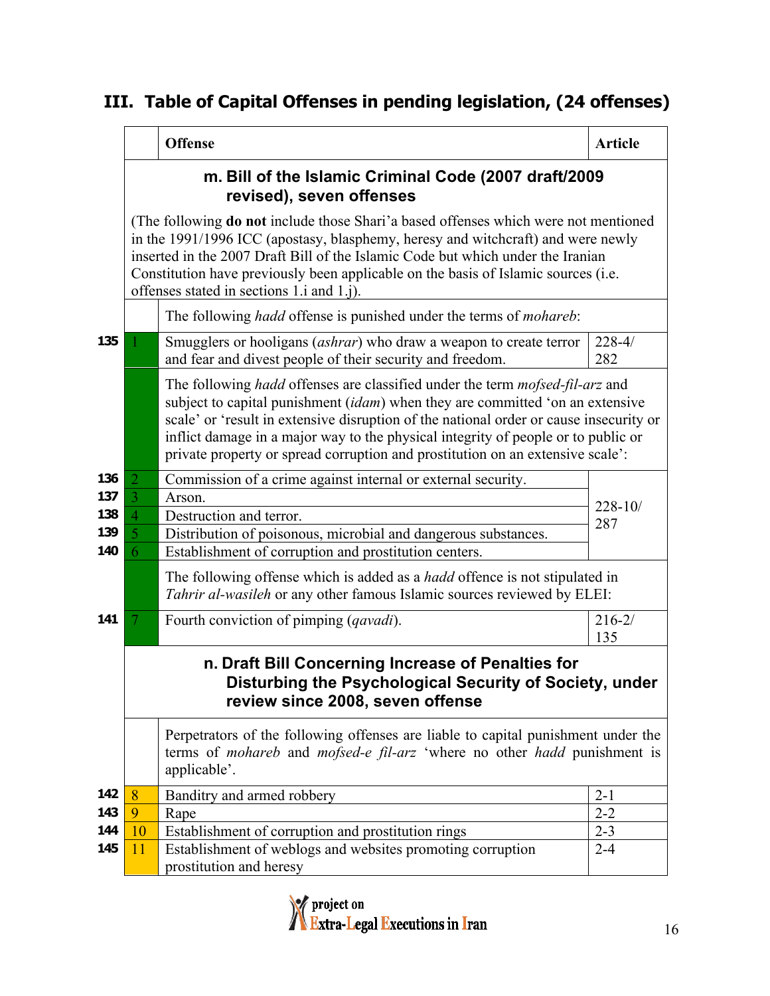## **III. Table of Capital Offenses in pending legislation, (24 offenses)**

|     |                                                                                                                                                                                                                                                                                                                                                                                                      | <b>Offense</b>                                                                                                                                                                                                                                                                                                                                                                                                                               | <b>Article</b>    |  |  |
|-----|------------------------------------------------------------------------------------------------------------------------------------------------------------------------------------------------------------------------------------------------------------------------------------------------------------------------------------------------------------------------------------------------------|----------------------------------------------------------------------------------------------------------------------------------------------------------------------------------------------------------------------------------------------------------------------------------------------------------------------------------------------------------------------------------------------------------------------------------------------|-------------------|--|--|
|     | m. Bill of the Islamic Criminal Code (2007 draft/2009<br>revised), seven offenses                                                                                                                                                                                                                                                                                                                    |                                                                                                                                                                                                                                                                                                                                                                                                                                              |                   |  |  |
|     | (The following <b>do not</b> include those Shari'a based offenses which were not mentioned<br>in the 1991/1996 ICC (apostasy, blasphemy, heresy and witchcraft) and were newly<br>inserted in the 2007 Draft Bill of the Islamic Code but which under the Iranian<br>Constitution have previously been applicable on the basis of Islamic sources (i.e.<br>offenses stated in sections 1.i and 1.j). |                                                                                                                                                                                                                                                                                                                                                                                                                                              |                   |  |  |
|     | The following <i>hadd</i> offense is punished under the terms of <i>mohareb</i> :                                                                                                                                                                                                                                                                                                                    |                                                                                                                                                                                                                                                                                                                                                                                                                                              |                   |  |  |
| 135 |                                                                                                                                                                                                                                                                                                                                                                                                      | Smugglers or hooligans ( <i>ashrar</i> ) who draw a weapon to create terror<br>and fear and divest people of their security and freedom.                                                                                                                                                                                                                                                                                                     | $228 - 4/$<br>282 |  |  |
|     |                                                                                                                                                                                                                                                                                                                                                                                                      | The following <i>hadd</i> offenses are classified under the term <i>mofsed-fil-arz</i> and<br>subject to capital punishment (idam) when they are committed 'on an extensive<br>scale' or 'result in extensive disruption of the national order or cause insecurity or<br>inflict damage in a major way to the physical integrity of people or to public or<br>private property or spread corruption and prostitution on an extensive scale': |                   |  |  |
| 136 | $\overline{2}$                                                                                                                                                                                                                                                                                                                                                                                       | Commission of a crime against internal or external security.                                                                                                                                                                                                                                                                                                                                                                                 |                   |  |  |
| 137 | 3                                                                                                                                                                                                                                                                                                                                                                                                    | Arson.                                                                                                                                                                                                                                                                                                                                                                                                                                       | $228 - 10/$       |  |  |
| 138 | $\overline{4}$                                                                                                                                                                                                                                                                                                                                                                                       | Destruction and terror.                                                                                                                                                                                                                                                                                                                                                                                                                      | 287               |  |  |
| 139 | 5                                                                                                                                                                                                                                                                                                                                                                                                    | Distribution of poisonous, microbial and dangerous substances.                                                                                                                                                                                                                                                                                                                                                                               |                   |  |  |
| 140 | 6                                                                                                                                                                                                                                                                                                                                                                                                    | Establishment of corruption and prostitution centers.                                                                                                                                                                                                                                                                                                                                                                                        |                   |  |  |
|     |                                                                                                                                                                                                                                                                                                                                                                                                      | The following offense which is added as a <i>hadd</i> offence is not stipulated in<br>Tahrir al-wasileh or any other famous Islamic sources reviewed by ELEI:                                                                                                                                                                                                                                                                                |                   |  |  |
| 141 | 7                                                                                                                                                                                                                                                                                                                                                                                                    | Fourth conviction of pimping (qavadi).                                                                                                                                                                                                                                                                                                                                                                                                       | $216 - 2/$<br>135 |  |  |
|     | n. Draft Bill Concerning Increase of Penalties for<br>Disturbing the Psychological Security of Society, under<br>review since 2008, seven offense                                                                                                                                                                                                                                                    |                                                                                                                                                                                                                                                                                                                                                                                                                                              |                   |  |  |
|     |                                                                                                                                                                                                                                                                                                                                                                                                      | Perpetrators of the following offenses are liable to capital punishment under the<br>terms of mohareb and mofsed-e fil-arz 'where no other hadd punishment is<br>applicable'.                                                                                                                                                                                                                                                                |                   |  |  |
| 142 | 8                                                                                                                                                                                                                                                                                                                                                                                                    | Banditry and armed robbery                                                                                                                                                                                                                                                                                                                                                                                                                   | $2 - 1$           |  |  |
| 143 | 9                                                                                                                                                                                                                                                                                                                                                                                                    | Rape                                                                                                                                                                                                                                                                                                                                                                                                                                         | $2 - 2$           |  |  |
| 144 | 10                                                                                                                                                                                                                                                                                                                                                                                                   | Establishment of corruption and prostitution rings                                                                                                                                                                                                                                                                                                                                                                                           | $2 - 3$           |  |  |
| 145 | 11                                                                                                                                                                                                                                                                                                                                                                                                   | Establishment of weblogs and websites promoting corruption<br>prostitution and heresy                                                                                                                                                                                                                                                                                                                                                        | $2 - 4$           |  |  |
|     |                                                                                                                                                                                                                                                                                                                                                                                                      |                                                                                                                                                                                                                                                                                                                                                                                                                                              |                   |  |  |